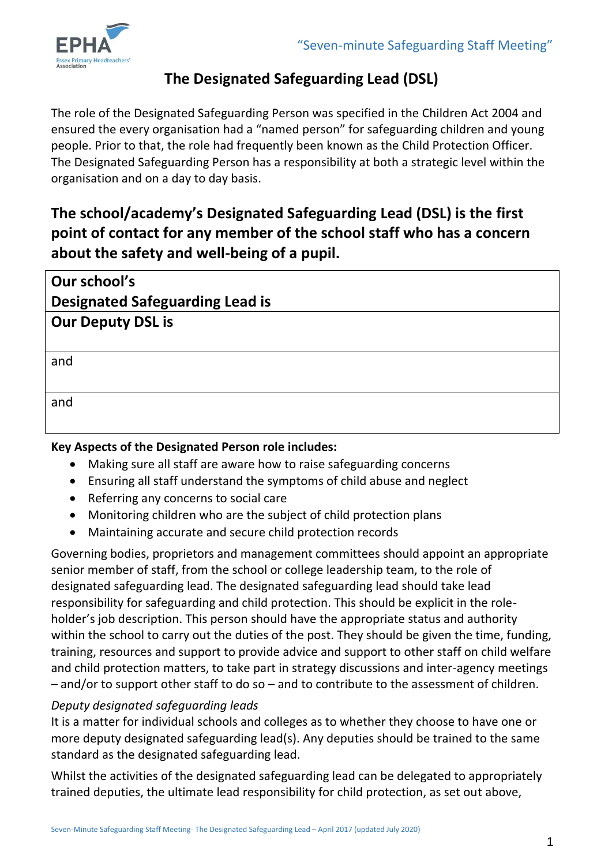

## **The Designated Safeguarding Lead (DSL)**

The role of the Designated Safeguarding Person was specified in the Children Act 2004 and ensured the every organisation had a "named person" for safeguarding children and young people. Prior to that, the role had frequently been known as the Child Protection Officer. The Designated Safeguarding Person has a responsibility at both a strategic level within the organisation and on a day to day basis.

# **The school/academy's Designated Safeguarding Lead (DSL) is the first point of contact for any member of the school staff who has a concern about the safety and well-being of a pupil.**

| Our school's                           |
|----------------------------------------|
| <b>Designated Safeguarding Lead is</b> |
| <b>Our Deputy DSL is</b>               |
|                                        |
| and                                    |
|                                        |
| and                                    |
|                                        |
|                                        |

## **Key Aspects of the Designated Person role includes:**

- Making sure all staff are aware how to raise safeguarding concerns
- Ensuring all staff understand the symptoms of child abuse and neglect
- Referring any concerns to social care
- Monitoring children who are the subject of child protection plans
- Maintaining accurate and secure child protection records

Governing bodies, proprietors and management committees should appoint an appropriate senior member of staff, from the school or college leadership team, to the role of designated safeguarding lead. The designated safeguarding lead should take lead responsibility for safeguarding and child protection. This should be explicit in the roleholder's job description. This person should have the appropriate status and authority within the school to carry out the duties of the post. They should be given the time, funding, training, resources and support to provide advice and support to other staff on child welfare and child protection matters, to take part in strategy discussions and inter-agency meetings – and/or to support other staff to do so – and to contribute to the assessment of children.

## *Deputy designated safeguarding leads*

It is a matter for individual schools and colleges as to whether they choose to have one or more deputy designated safeguarding lead(s). Any deputies should be trained to the same standard as the designated safeguarding lead.

Whilst the activities of the designated safeguarding lead can be delegated to appropriately trained deputies, the ultimate lead responsibility for child protection, as set out above,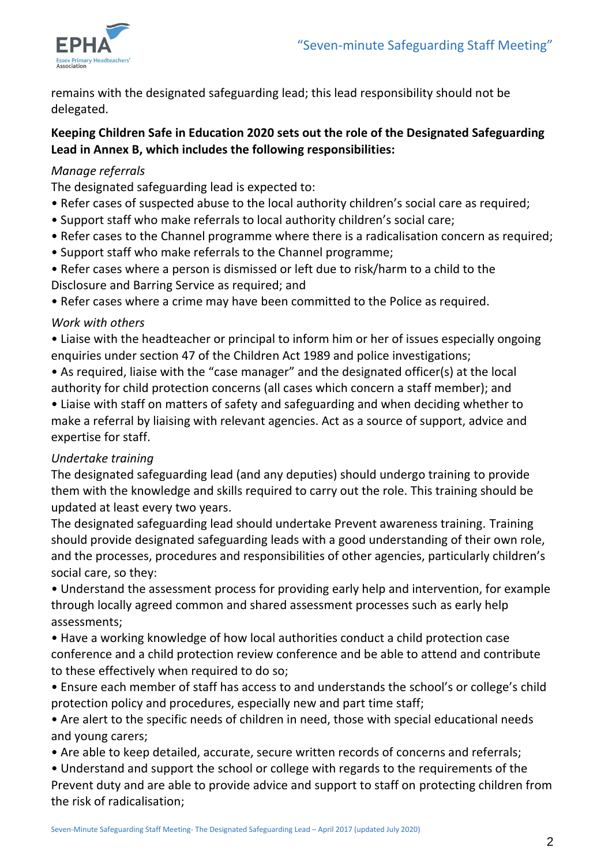

remains with the designated safeguarding lead; this lead responsibility should not be delegated.

#### **Keeping Children Safe in Education 2020 sets out the role of the Designated Safeguarding Lead in Annex B, which includes the following responsibilities:**

#### *Manage referrals*

The designated safeguarding lead is expected to:

- Refer cases of suspected abuse to the local authority children's social care as required;
- Support staff who make referrals to local authority children's social care;
- Refer cases to the Channel programme where there is a radicalisation concern as required;
- Support staff who make referrals to the Channel programme;
- Refer cases where a person is dismissed or left due to risk/harm to a child to the Disclosure and Barring Service as required; and
- Refer cases where a crime may have been committed to the Police as required.

#### *Work with others*

• Liaise with the headteacher or principal to inform him or her of issues especially ongoing enquiries under section 47 of the Children Act 1989 and police investigations;

• As required, liaise with the "case manager" and the designated officer(s) at the local authority for child protection concerns (all cases which concern a staff member); and

• Liaise with staff on matters of safety and safeguarding and when deciding whether to make a referral by liaising with relevant agencies. Act as a source of support, advice and expertise for staff.

#### *Undertake training*

The designated safeguarding lead (and any deputies) should undergo training to provide them with the knowledge and skills required to carry out the role. This training should be updated at least every two years.

The designated safeguarding lead should undertake Prevent awareness training. Training should provide designated safeguarding leads with a good understanding of their own role, and the processes, procedures and responsibilities of other agencies, particularly children's social care, so they:

• Understand the assessment process for providing early help and intervention, for example through locally agreed common and shared assessment processes such as early help assessments;

• Have a working knowledge of how local authorities conduct a child protection case conference and a child protection review conference and be able to attend and contribute to these effectively when required to do so;

• Ensure each member of staff has access to and understands the school's or college's child protection policy and procedures, especially new and part time staff;

• Are alert to the specific needs of children in need, those with special educational needs and young carers;

- Are able to keep detailed, accurate, secure written records of concerns and referrals;
- Understand and support the school or college with regards to the requirements of the Prevent duty and are able to provide advice and support to staff on protecting children from the risk of radicalisation;